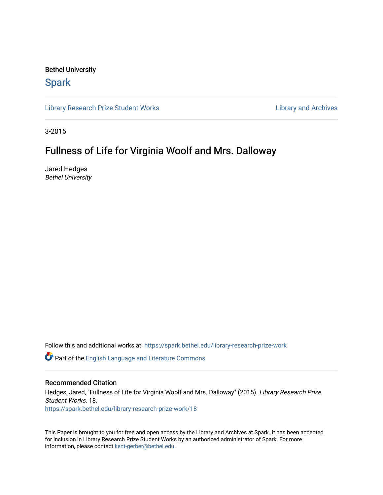### Bethel University

## **Spark**

[Library Research Prize Student Works](https://spark.bethel.edu/library-research-prize-work) **Library Access 2018** Library and Archives

3-2015

# Fullness of Life for Virginia Woolf and Mrs. Dalloway

Jared Hedges Bethel University

Follow this and additional works at: [https://spark.bethel.edu/library-research-prize-work](https://spark.bethel.edu/library-research-prize-work?utm_source=spark.bethel.edu%2Flibrary-research-prize-work%2F18&utm_medium=PDF&utm_campaign=PDFCoverPages) 

Part of the [English Language and Literature Commons](http://network.bepress.com/hgg/discipline/455?utm_source=spark.bethel.edu%2Flibrary-research-prize-work%2F18&utm_medium=PDF&utm_campaign=PDFCoverPages)

### Recommended Citation

Hedges, Jared, "Fullness of Life for Virginia Woolf and Mrs. Dalloway" (2015). Library Research Prize Student Works. 18. [https://spark.bethel.edu/library-research-prize-work/18](https://spark.bethel.edu/library-research-prize-work/18?utm_source=spark.bethel.edu%2Flibrary-research-prize-work%2F18&utm_medium=PDF&utm_campaign=PDFCoverPages) 

This Paper is brought to you for free and open access by the Library and Archives at Spark. It has been accepted for inclusion in Library Research Prize Student Works by an authorized administrator of Spark. For more information, please contact [kent-gerber@bethel.edu.](mailto:kent-gerber@bethel.edu)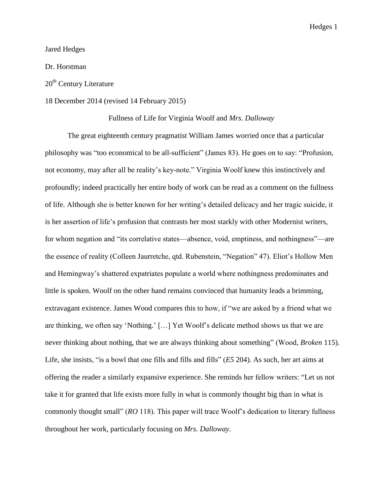Jared Hedges

Dr. Horstman

### 20<sup>th</sup> Century Literature

### 18 December 2014 (revised 14 February 2015)

### Fullness of Life for Virginia Woolf and *Mrs. Dalloway*

The great eighteenth century pragmatist William James worried once that a particular philosophy was "too economical to be all-sufficient" (James 83). He goes on to say: "Profusion, not economy, may after all be reality's key-note." Virginia Woolf knew this instinctively and profoundly; indeed practically her entire body of work can be read as a comment on the fullness of life. Although she is better known for her writing's detailed delicacy and her tragic suicide, it is her assertion of life's profusion that contrasts her most starkly with other Modernist writers, for whom negation and "its correlative states—absence, void, emptiness, and nothingness"—are the essence of reality (Colleen Jaurretche, qtd. Rubenstein, "Negation" 47). Eliot's Hollow Men and Hemingway's shattered expatriates populate a world where nothingness predominates and little is spoken. Woolf on the other hand remains convinced that humanity leads a brimming, extravagant existence. James Wood compares this to how, if "we are asked by a friend what we are thinking, we often say 'Nothing.' […] Yet Woolf's delicate method shows us that we are never thinking about nothing, that we are always thinking about something" (Wood, *Broken* 115). Life, she insists, "is a bowl that one fills and fills and fills" (*E5* 204). As such, her art aims at offering the reader a similarly expansive experience. She reminds her fellow writers: "Let us not take it for granted that life exists more fully in what is commonly thought big than in what is commonly thought small" (*RO* 118). This paper will trace Woolf's dedication to literary fullness throughout her work, particularly focusing on *Mrs. Dalloway*.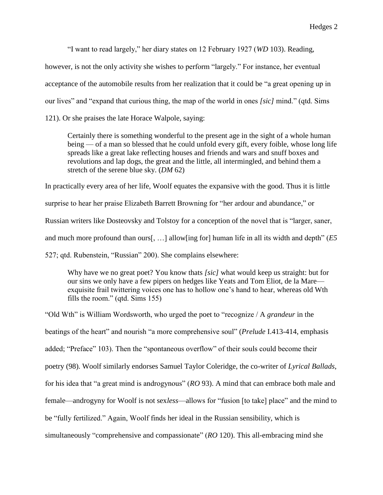"I want to read largely," her diary states on 12 February 1927 (*WD* 103). Reading,

however, is not the only activity she wishes to perform "largely." For instance, her eventual acceptance of the automobile results from her realization that it could be "a great opening up in our lives" and "expand that curious thing, the map of the world in ones *[sic]* mind." (qtd. Sims 121). Or she praises the late Horace Walpole, saying:

Certainly there is something wonderful to the present age in the sight of a whole human being — of a man so blessed that he could unfold every gift, every foible, whose long life spreads like a great lake reflecting houses and friends and wars and snuff boxes and revolutions and lap dogs, the great and the little, all intermingled, and behind them a stretch of the serene blue sky. (*DM* 62)

In practically every area of her life, Woolf equates the expansive with the good. Thus it is little

surprise to hear her praise Elizabeth Barrett Browning for "her ardour and abundance," or

Russian writers like Dosteovsky and Tolstoy for a conception of the novel that is "larger, saner,

and much more profound than ours[, …] allow[ing for] human life in all its width and depth" (*E5* 

527; qtd. Rubenstein, "Russian" 200). She complains elsewhere:

Why have we no great poet? You know thats *[sic]* what would keep us straight: but for our sins we only have a few pipers on hedges like Yeats and Tom Eliot, de la Mare exquisite frail twittering voices one has to hollow one's hand to hear, whereas old Wth fills the room." (qtd. Sims 155)

"Old Wth" is William Wordsworth, who urged the poet to "recognize / A *grandeur* in the beatings of the heart" and nourish "a more comprehensive soul" (*Prelude* I.413-414, emphasis added; "Preface" 103). Then the "spontaneous overflow" of their souls could become their poetry (98). Woolf similarly endorses Samuel Taylor Coleridge, the co-writer of *Lyrical Ballads*, for his idea that "a great mind is androgynous" (*RO* 93). A mind that can embrace both male and female—androgyny for Woolf is not sex*less*—allows for "fusion [to take] place" and the mind to be "fully fertilized." Again, Woolf finds her ideal in the Russian sensibility, which is simultaneously "comprehensive and compassionate" (*RO* 120). This all-embracing mind she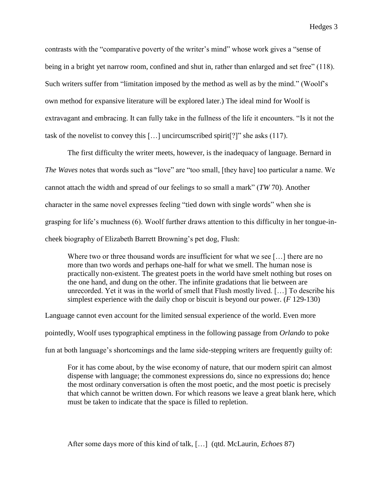contrasts with the "comparative poverty of the writer's mind" whose work gives a "sense of being in a bright yet narrow room, confined and shut in, rather than enlarged and set free" (118). Such writers suffer from "limitation imposed by the method as well as by the mind." (Woolf's own method for expansive literature will be explored later.) The ideal mind for Woolf is extravagant and embracing. It can fully take in the fullness of the life it encounters. "Is it not the task of the novelist to convey this […] uncircumscribed spirit[?]" she asks (117).

The first difficulty the writer meets, however, is the inadequacy of language. Bernard in *The Waves* notes that words such as "love" are "too small, [they have] too particular a name. We cannot attach the width and spread of our feelings to so small a mark" (*TW* 70). Another character in the same novel expresses feeling "tied down with single words" when she is grasping for life's muchness (6). Woolf further draws attention to this difficulty in her tongue-incheek biography of Elizabeth Barrett Browning's pet dog, Flush:

Where two or three thousand words are insufficient for what we see [...] there are no more than two words and perhaps one-half for what we smell. The human nose is practically non-existent. The greatest poets in the world have smelt nothing but roses on the one hand, and dung on the other. The infinite gradations that lie between are unrecorded. Yet it was in the world of smell that Flush mostly lived. […] To describe his simplest experience with the daily chop or biscuit is beyond our power. (*F* 129-130)

Language cannot even account for the limited sensual experience of the world. Even more pointedly, Woolf uses typographical emptiness in the following passage from *Orlando* to poke fun at both language's shortcomings and the lame side-stepping writers are frequently guilty of:

For it has come about, by the wise economy of nature, that our modern spirit can almost dispense with language; the commonest expressions do, since no expressions do; hence the most ordinary conversation is often the most poetic, and the most poetic is precisely that which cannot be written down. For which reasons we leave a great blank here, which must be taken to indicate that the space is filled to repletion.

After some days more of this kind of talk, […] (qtd. McLaurin, *Echoes* 87)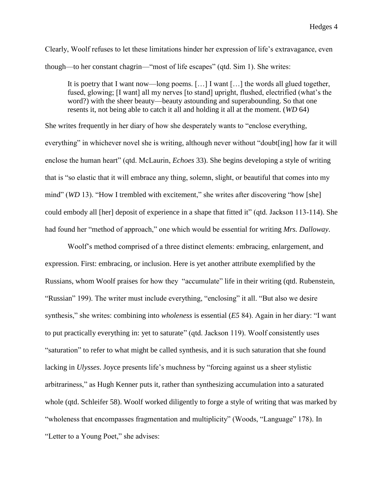Clearly, Woolf refuses to let these limitations hinder her expression of life's extravagance, even though—to her constant chagrin—"most of life escapes" (qtd. Sim 1). She writes:

It is poetry that I want now—long poems. […] I want […] the words all glued together, fused, glowing; [I want] all my nerves [to stand] upright, flushed, electrified (what's the word?) with the sheer beauty—beauty astounding and superabounding. So that one resents it, not being able to catch it all and holding it all at the moment. (*WD* 64)

She writes frequently in her diary of how she desperately wants to "enclose everything, everything" in whichever novel she is writing, although never without "doubt[ing] how far it will enclose the human heart" (qtd. McLaurin, *Echoes* 33). She begins developing a style of writing that is "so elastic that it will embrace any thing, solemn, slight, or beautiful that comes into my mind" (*WD* 13). "How I trembled with excitement," she writes after discovering "how [she] could embody all [her] deposit of experience in a shape that fitted it" (qtd. Jackson 113-114). She had found her "method of approach," one which would be essential for writing *Mrs. Dalloway*.

Woolf's method comprised of a three distinct elements: embracing, enlargement, and expression. First: embracing, or inclusion. Here is yet another attribute exemplified by the Russians, whom Woolf praises for how they "accumulate" life in their writing (qtd. Rubenstein, "Russian" 199). The writer must include everything, "enclosing" it all. "But also we desire synthesis," she writes: combining into *wholeness* is essential (*E5* 84). Again in her diary: "I want to put practically everything in: yet to saturate" (qtd. Jackson 119). Woolf consistently uses "saturation" to refer to what might be called synthesis, and it is such saturation that she found lacking in *Ulysses*. Joyce presents life's muchness by "forcing against us a sheer stylistic arbitrariness," as Hugh Kenner puts it, rather than synthesizing accumulation into a saturated whole (qtd. Schleifer 58). Woolf worked diligently to forge a style of writing that was marked by "wholeness that encompasses fragmentation and multiplicity" (Woods, "Language" 178). In "Letter to a Young Poet," she advises: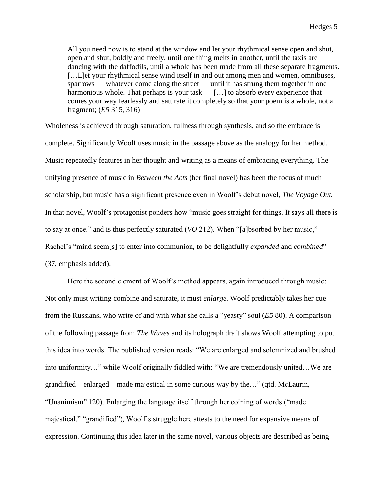All you need now is to stand at the window and let your rhythmical sense open and shut, open and shut, boldly and freely, until one thing melts in another, until the taxis are dancing with the daffodils, until a whole has been made from all these separate fragments. […L]et your rhythmical sense wind itself in and out among men and women, omnibuses, sparrows — whatever come along the street — until it has strung them together in one harmonious whole. That perhaps is your task — [...] to absorb every experience that comes your way fearlessly and saturate it completely so that your poem is a whole, not a fragment; (*E5* 315, 316)

Wholeness is achieved through saturation, fullness through synthesis, and so the embrace is complete. Significantly Woolf uses music in the passage above as the analogy for her method. Music repeatedly features in her thought and writing as a means of embracing everything. The unifying presence of music in *Between the Acts* (her final novel) has been the focus of much scholarship, but music has a significant presence even in Woolf's debut novel, *The Voyage Out*. In that novel, Woolf's protagonist ponders how "music goes straight for things. It says all there is to say at once," and is thus perfectly saturated (*VO* 212). When "[a]bsorbed by her music," Rachel's "mind seem[s] to enter into communion, to be delightfully *expanded* and *combined*" (37, emphasis added).

Here the second element of Woolf's method appears, again introduced through music: Not only must writing combine and saturate, it must *enlarge*. Woolf predictably takes her cue from the Russians, who write of and with what she calls a "yeasty" soul (*E5* 80). A comparison of the following passage from *The Waves* and its holograph draft shows Woolf attempting to put this idea into words. The published version reads: "We are enlarged and solemnized and brushed into uniformity…" while Woolf originally fiddled with: "We are tremendously united…We are grandified—enlarged—made majestical in some curious way by the…" (qtd. McLaurin, "Unanimism" 120). Enlarging the language itself through her coining of words ("made majestical," "grandified"), Woolf's struggle here attests to the need for expansive means of expression. Continuing this idea later in the same novel, various objects are described as being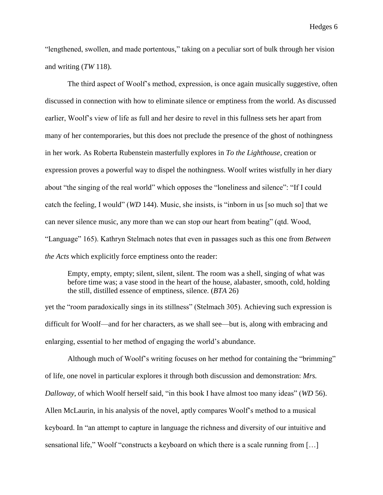"lengthened, swollen, and made portentous," taking on a peculiar sort of bulk through her vision and writing (*TW* 118).

The third aspect of Woolf's method, expression, is once again musically suggestive, often discussed in connection with how to eliminate silence or emptiness from the world. As discussed earlier, Woolf's view of life as full and her desire to revel in this fullness sets her apart from many of her contemporaries, but this does not preclude the presence of the ghost of nothingness in her work. As Roberta Rubenstein masterfully explores in *To the Lighthouse*, creation or expression proves a powerful way to dispel the nothingness. Woolf writes wistfully in her diary about "the singing of the real world" which opposes the "loneliness and silence": "If I could catch the feeling, I would" (*WD* 144). Music, she insists, is "inborn in us [so much so] that we can never silence music, any more than we can stop our heart from beating" (qtd. Wood, "Language" 165). Kathryn Stelmach notes that even in passages such as this one from *Between the Acts* which explicitly force emptiness onto the reader:

Empty, empty, empty; silent, silent, silent. The room was a shell, singing of what was before time was; a vase stood in the heart of the house, alabaster, smooth, cold, holding the still, distilled essence of emptiness, silence. (*BTA* 26)

yet the "room paradoxically sings in its stillness" (Stelmach 305). Achieving such expression is difficult for Woolf—and for her characters, as we shall see—but is, along with embracing and enlarging, essential to her method of engaging the world's abundance.

Although much of Woolf's writing focuses on her method for containing the "brimming" of life, one novel in particular explores it through both discussion and demonstration: *Mrs. Dalloway*, of which Woolf herself said, "in this book I have almost too many ideas" (*WD* 56). Allen McLaurin, in his analysis of the novel, aptly compares Woolf's method to a musical keyboard. In "an attempt to capture in language the richness and diversity of our intuitive and sensational life," Woolf "constructs a keyboard on which there is a scale running from […]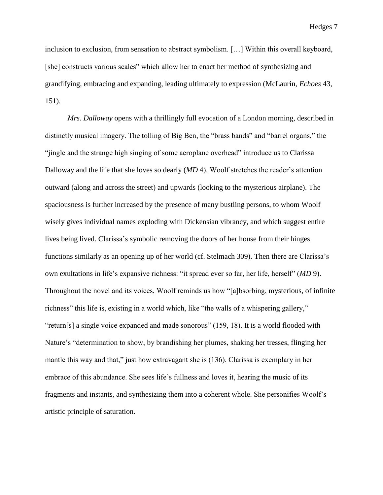inclusion to exclusion, from sensation to abstract symbolism. […] Within this overall keyboard, [she] constructs various scales" which allow her to enact her method of synthesizing and grandifying, embracing and expanding, leading ultimately to expression (McLaurin, *Echoes* 43, 151).

*Mrs. Dalloway* opens with a thrillingly full evocation of a London morning, described in distinctly musical imagery. The tolling of Big Ben, the "brass bands" and "barrel organs," the "jingle and the strange high singing of some aeroplane overhead" introduce us to Clarissa Dalloway and the life that she loves so dearly (*MD* 4). Woolf stretches the reader's attention outward (along and across the street) and upwards (looking to the mysterious airplane). The spaciousness is further increased by the presence of many bustling persons, to whom Woolf wisely gives individual names exploding with Dickensian vibrancy, and which suggest entire lives being lived. Clarissa's symbolic removing the doors of her house from their hinges functions similarly as an opening up of her world (cf. Stelmach 309). Then there are Clarissa's own exultations in life's expansive richness: "it spread ever so far, her life, herself" (*MD* 9). Throughout the novel and its voices, Woolf reminds us how "[a]bsorbing, mysterious, of infinite richness" this life is, existing in a world which, like "the walls of a whispering gallery," "return[s] a single voice expanded and made sonorous" (159, 18). It is a world flooded with Nature's "determination to show, by brandishing her plumes, shaking her tresses, flinging her mantle this way and that," just how extravagant she is (136). Clarissa is exemplary in her embrace of this abundance. She sees life's fullness and loves it, hearing the music of its fragments and instants, and synthesizing them into a coherent whole. She personifies Woolf's artistic principle of saturation.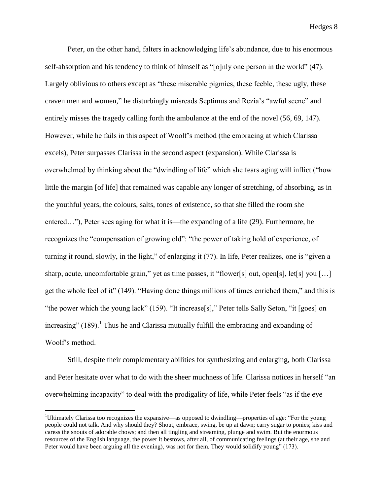Peter, on the other hand, falters in acknowledging life's abundance, due to his enormous self-absorption and his tendency to think of himself as "[o]nly one person in the world" (47). Largely oblivious to others except as "these miserable pigmies, these feeble, these ugly, these craven men and women," he disturbingly misreads Septimus and Rezia's "awful scene" and entirely misses the tragedy calling forth the ambulance at the end of the novel (56, 69, 147). However, while he fails in this aspect of Woolf's method (the embracing at which Clarissa excels), Peter surpasses Clarissa in the second aspect (expansion). While Clarissa is overwhelmed by thinking about the "dwindling of life" which she fears aging will inflict ("how little the margin [of life] that remained was capable any longer of stretching, of absorbing, as in the youthful years, the colours, salts, tones of existence, so that she filled the room she entered…"), Peter sees aging for what it is—the expanding of a life (29). Furthermore, he recognizes the "compensation of growing old": "the power of taking hold of experience, of turning it round, slowly, in the light," of enlarging it (77). In life, Peter realizes, one is "given a sharp, acute, uncomfortable grain," yet as time passes, it "flower[s] out, open[s], let[s] you [...] get the whole feel of it" (149). "Having done things millions of times enriched them," and this is "the power which the young lack" (159). "It increase[s]," Peter tells Sally Seton, "it [goes] on increasing"  $(189)$ .<sup>1</sup> Thus he and Clarissa mutually fulfill the embracing and expanding of Woolf's method.

Still, despite their complementary abilities for synthesizing and enlarging, both Clarissa and Peter hesitate over what to do with the sheer muchness of life. Clarissa notices in herself "an overwhelming incapacity" to deal with the prodigality of life, while Peter feels "as if the eye

 $\overline{a}$ 

<sup>&</sup>lt;sup>1</sup>Ultimately Clarissa too recognizes the expansive—as opposed to dwindling—properties of age: "For the young people could not talk. And why should they? Shout, embrace, swing, be up at dawn; carry sugar to ponies; kiss and caress the snouts of adorable chows; and then all tingling and streaming, plunge and swim. But the enormous resources of the English language, the power it bestows, after all, of communicating feelings (at their age, she and Peter would have been arguing all the evening), was not for them. They would solidify young" (173).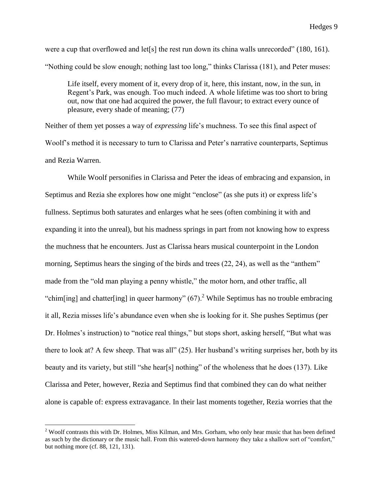were a cup that overflowed and let<sup>[s]</sup> the rest run down its china walls unrecorded" (180, 161). "Nothing could be slow enough; nothing last too long," thinks Clarissa (181), and Peter muses:

Life itself, every moment of it, every drop of it, here, this instant, now, in the sun, in Regent's Park, was enough. Too much indeed. A whole lifetime was too short to bring out, now that one had acquired the power, the full flavour; to extract every ounce of pleasure, every shade of meaning; (77)

Neither of them yet posses a way of *expressing* life's muchness. To see this final aspect of Woolf's method it is necessary to turn to Clarissa and Peter's narrative counterparts, Septimus and Rezia Warren.

While Woolf personifies in Clarissa and Peter the ideas of embracing and expansion, in Septimus and Rezia she explores how one might "enclose" (as she puts it) or express life's fullness. Septimus both saturates and enlarges what he sees (often combining it with and expanding it into the unreal), but his madness springs in part from not knowing how to express the muchness that he encounters. Just as Clarissa hears musical counterpoint in the London morning, Septimus hears the singing of the birds and trees  $(22, 24)$ , as well as the "anthem" made from the "old man playing a penny whistle," the motor horn, and other traffic, all "chim[ing] and chatter[ing] in queer harmony"  $(67)$ .<sup>2</sup> While Septimus has no trouble embracing it all, Rezia misses life's abundance even when she is looking for it. She pushes Septimus (per Dr. Holmes's instruction) to "notice real things," but stops short, asking herself, "But what was there to look at? A few sheep. That was all" (25). Her husband's writing surprises her, both by its beauty and its variety, but still "she hear[s] nothing" of the wholeness that he does (137). Like Clarissa and Peter, however, Rezia and Septimus find that combined they can do what neither alone is capable of: express extravagance. In their last moments together, Rezia worries that the

 $\overline{a}$ 

<sup>&</sup>lt;sup>2</sup> Woolf contrasts this with Dr. Holmes, Miss Kilman, and Mrs. Gorham, who only hear music that has been defined as such by the dictionary or the music hall. From this watered-down harmony they take a shallow sort of "comfort," but nothing more (cf. 88, 121, 131).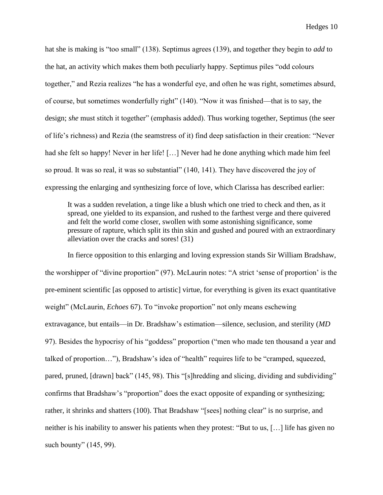hat she is making is "too small" (138). Septimus agrees (139), and together they begin to *add* to the hat, an activity which makes them both peculiarly happy. Septimus piles "odd colours together," and Rezia realizes "he has a wonderful eye, and often he was right, sometimes absurd, of course, but sometimes wonderfully right" (140). "Now it was finished—that is to say, the design; *she* must stitch it together" (emphasis added). Thus working together, Septimus (the seer of life's richness) and Rezia (the seamstress of it) find deep satisfaction in their creation: "Never had she felt so happy! Never in her life! [...] Never had he done anything which made him feel so proud. It was so real, it was so substantial" (140, 141). They have discovered the joy of expressing the enlarging and synthesizing force of love, which Clarissa has described earlier:

It was a sudden revelation, a tinge like a blush which one tried to check and then, as it spread, one yielded to its expansion, and rushed to the farthest verge and there quivered and felt the world come closer, swollen with some astonishing significance, some pressure of rapture, which split its thin skin and gushed and poured with an extraordinary alleviation over the cracks and sores! (31)

In fierce opposition to this enlarging and loving expression stands Sir William Bradshaw, the worshipper of "divine proportion" (97). McLaurin notes: "A strict 'sense of proportion' is the pre-eminent scientific [as opposed to artistic] virtue, for everything is given its exact quantitative weight" (McLaurin, *Echoes* 67). To "invoke proportion" not only means eschewing extravagance, but entails—in Dr. Bradshaw's estimation—silence, seclusion, and sterility (*MD* 97). Besides the hypocrisy of his "goddess" proportion ("men who made ten thousand a year and talked of proportion…"), Bradshaw's idea of "health" requires life to be "cramped, squeezed, pared, pruned, [drawn] back" (145, 98). This "[s]hredding and slicing, dividing and subdividing" confirms that Bradshaw's "proportion" does the exact opposite of expanding or synthesizing; rather, it shrinks and shatters (100). That Bradshaw "[sees] nothing clear" is no surprise, and neither is his inability to answer his patients when they protest: "But to us, […] life has given no such bounty" (145, 99).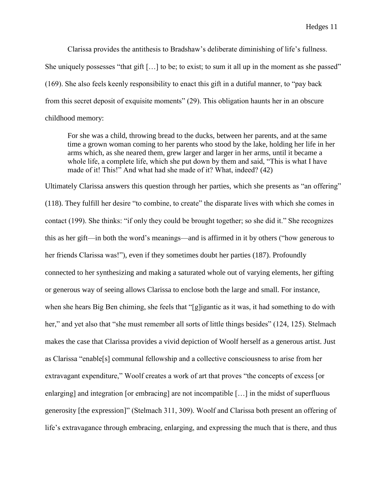Clarissa provides the antithesis to Bradshaw's deliberate diminishing of life's fullness.

She uniquely possesses "that gift […] to be; to exist; to sum it all up in the moment as she passed"

(169). She also feels keenly responsibility to enact this gift in a dutiful manner, to "pay back

from this secret deposit of exquisite moments" (29). This obligation haunts her in an obscure

childhood memory:

For she was a child, throwing bread to the ducks, between her parents, and at the same time a grown woman coming to her parents who stood by the lake, holding her life in her arms which, as she neared them, grew larger and larger in her arms, until it became a whole life, a complete life, which she put down by them and said, "This is what I have made of it! This!" And what had she made of it? What, indeed? (42)

Ultimately Clarissa answers this question through her parties, which she presents as "an offering" (118). They fulfill her desire "to combine, to create" the disparate lives with which she comes in contact (199). She thinks: "if only they could be brought together; so she did it." She recognizes this as her gift—in both the word's meanings—and is affirmed in it by others ("how generous to her friends Clarissa was!"), even if they sometimes doubt her parties (187). Profoundly connected to her synthesizing and making a saturated whole out of varying elements, her gifting or generous way of seeing allows Clarissa to enclose both the large and small. For instance, when she hears Big Ben chiming, she feels that "[g]igantic as it was, it had something to do with her," and yet also that "she must remember all sorts of little things besides" (124, 125). Stelmach makes the case that Clarissa provides a vivid depiction of Woolf herself as a generous artist. Just as Clarissa "enable[s] communal fellowship and a collective consciousness to arise from her extravagant expenditure," Woolf creates a work of art that proves "the concepts of excess [or enlarging] and integration [or embracing] are not incompatible […] in the midst of superfluous generosity [the expression]" (Stelmach 311, 309). Woolf and Clarissa both present an offering of life's extravagance through embracing, enlarging, and expressing the much that is there, and thus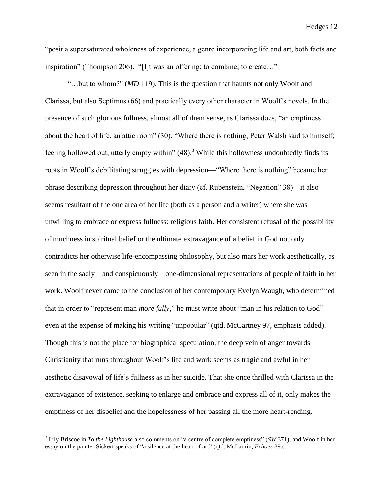"posit a supersaturated wholeness of experience, a genre incorporating life and art, both facts and inspiration" (Thompson 206). "[I]t was an offering; to combine; to create…"

"…but to whom?" (*MD* 119). This is the question that haunts not only Woolf and Clarissa, but also Septimus (66) and practically every other character in Woolf's novels. In the presence of such glorious fullness, almost all of them sense, as Clarissa does, "an emptiness about the heart of life, an attic room" (30). "Where there is nothing, Peter Walsh said to himself; feeling hollowed out, utterly empty within"  $(48)$ .<sup>3</sup> While this hollowness undoubtedly finds its roots in Woolf's debilitating struggles with depression—"Where there is nothing" became her phrase describing depression throughout her diary (cf. Rubenstein, "Negation" 38)—it also seems resultant of the one area of her life (both as a person and a writer) where she was unwilling to embrace or express fullness: religious faith. Her consistent refusal of the possibility of muchness in spiritual belief or the ultimate extravagance of a belief in God not only contradicts her otherwise life-encompassing philosophy, but also mars her work aesthetically, as seen in the sadly—and conspicuously—one-dimensional representations of people of faith in her work. Woolf never came to the conclusion of her contemporary Evelyn Waugh, who determined that in order to "represent man *more fully*," he must write about "man in his relation to God" even at the expense of making his writing "unpopular" (qtd. McCartney 97, emphasis added). Though this is not the place for biographical speculation, the deep vein of anger towards Christianity that runs throughout Woolf's life and work seems as tragic and awful in her aesthetic disavowal of life's fullness as in her suicide. That she once thrilled with Clarissa in the extravagance of existence, seeking to enlarge and embrace and express all of it, only makes the emptiness of her disbelief and the hopelessness of her passing all the more heart-rending.

 $\overline{a}$ 

<sup>3</sup> Lily Briscoe in *To the Lighthouse* also comments on "a centre of complete emptiness" (*SW* 371), and Woolf in her essay on the painter Sickert speaks of "a silence at the heart of art" (qtd. McLaurin, *Echoes* 89).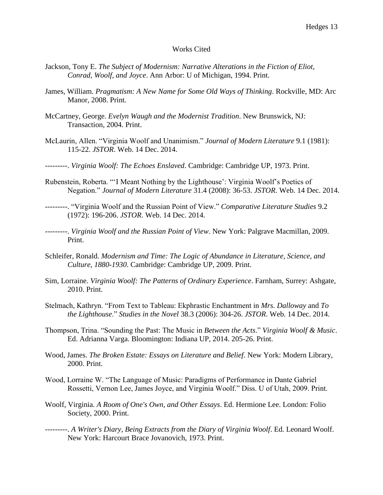### Works Cited

- Jackson, Tony E. *The Subject of Modernism: Narrative Alterations in the Fiction of Eliot, Conrad, Woolf, and Joyce*. Ann Arbor: U of Michigan, 1994. Print.
- James, William. *Pragmatism: A New Name for Some Old Ways of Thinking*. Rockville, MD: Arc Manor, 2008. Print.
- McCartney, George. *Evelyn Waugh and the Modernist Tradition*. New Brunswick, NJ: Transaction, 2004. Print.
- McLaurin, Allen. "Virginia Woolf and Unanimism." *Journal of Modern Literature* 9.1 (1981): 115-22. *JSTOR*. Web. 14 Dec. 2014.
- ---------. *Virginia Woolf: The Echoes Enslaved*. Cambridge: Cambridge UP, 1973. Print.
- Rubenstein, Roberta. "'I Meant Nothing by the Lighthouse': Virginia Woolf's Poetics of Negation." *Journal of Modern Literature* 31.4 (2008): 36-53. *JSTOR*. Web. 14 Dec. 2014.
- ---------. "Virginia Woolf and the Russian Point of View." *Comparative Literature Studies* 9.2 (1972): 196-206. *JSTOR*. Web. 14 Dec. 2014.
- ---------. *Virginia Woolf and the Russian Point of View*. New York: Palgrave Macmillan, 2009. Print.
- Schleifer, Ronald. *Modernism and Time: The Logic of Abundance in Literature, Science, and Culture, 1880-1930*. Cambridge: Cambridge UP, 2009. Print.
- Sim, Lorraine. *Virginia Woolf: The Patterns of Ordinary Experience*. Farnham, Surrey: Ashgate, 2010. Print.
- Stelmach, Kathryn. "From Text to Tableau: Ekphrastic Enchantment in *Mrs. Dalloway* and *To the Lighthouse*." *Studies in the Novel* 38.3 (2006): 304-26. *JSTOR*. Web. 14 Dec. 2014.
- Thompson, Trina. "Sounding the Past: The Music in *Between the Acts*." *Virginia Woolf & Music*. Ed. Adrianna Varga. Bloomington: Indiana UP, 2014. 205-26. Print.
- Wood, James. *The Broken Estate: Essays on Literature and Belief*. New York: Modern Library, 2000. Print.
- Wood, Lorraine W. "The Language of Music: Paradigms of Performance in Dante Gabriel Rossetti, Vernon Lee, James Joyce, and Virginia Woolf." Diss. U of Utah, 2009. Print.
- Woolf, Virginia. *A Room of One's Own, and Other Essays*. Ed. Hermione Lee. London: Folio Society, 2000. Print.
- ---------. *A Writer's Diary, Being Extracts from the Diary of Virginia Woolf*. Ed. Leonard Woolf. New York: Harcourt Brace Jovanovich, 1973. Print.